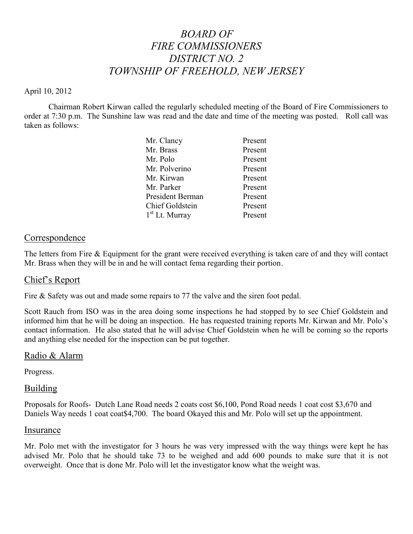# *BOARD OF FIRE COMMISSIONERS DISTRICT NO. 2 TOWNSHIP OF FREEHOLD, NEW JERSEY*

### April 10, 2012

Chairman Robert Kirwan called the regularly scheduled meeting of the Board of Fire Commissioners to order at 7:30 p.m. The Sunshine law was read and the date and time of the meeting was posted. Roll call was taken as follows:

| Mr. Clancy                 | Present |
|----------------------------|---------|
| Mr. Brass                  | Present |
| Mr. Polo                   | Present |
| Mr. Polverino              | Present |
| Mr. Kirwan                 | Present |
| Mr. Parker                 | Present |
| President Berman           | Present |
| <b>Chief Goldstein</b>     | Present |
| 1 <sup>st</sup> Lt. Murray | Present |

# **Correspondence**

The letters from Fire & Equipment for the grant were received everything is taken care of and they will contact Mr. Brass when they will be in and he will contact fema regarding their portion.

# Chief's Report

Fire & Safety was out and made some repairs to 77 the valve and the siren foot pedal.

Scott Rauch from ISO was in the area doing some inspections he had stopped by to see Chief Goldstein and informed him that he will be doing an inspection. He has requested training reports Mr. Kirwan and Mr. Polo's contact information. He also stated that he will advise Chief Goldstein when he will be coming so the reports and anything else needed for the inspection can be put together.

# Radio & Alarm

Progress.

# Building

Proposals for Roofs- Dutch Lane Road needs 2 coats cost \$6,100, Pond Road needs 1 coat cost \$3,670 and Daniels Way needs 1 coat coat\$4,700. The board Okayed this and Mr. Polo will set up the appointment.

#### Insurance

Mr. Polo met with the investigator for 3 hours he was very impressed with the way things were kept he has advised Mr. Polo that he should take 73 to be weighed and add 600 pounds to make sure that it is not overweight. Once that is done Mr. Polo will let the investigator know what the weight was.